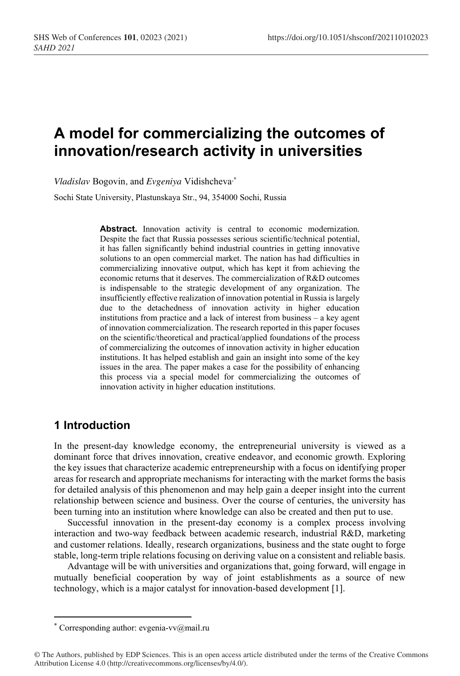# **A model for commercializing the outcomes of innovation/research activity in universities**

*Vladislav* Bogovin*,* and *Evgeniya* Vidishcheva,*\**

Sochi State University, Plastunskaya Str., 94, 354000 Sochi, Russia

Abstract. Innovation activity is central to economic modernization. Despite the fact that Russia possesses serious scientific/technical potential, it has fallen significantly behind industrial countries in getting innovative solutions to an open commercial market. The nation has had difficulties in commercializing innovative output, which has kept it from achieving the economic returns that it deserves. The commercialization of R&D outcomes is indispensable to the strategic development of any organization. The insufficiently effective realization of innovation potential in Russia islargely due to the detachedness of innovation activity in higher education institutions from practice and a lack of interest from business – a key agent of innovation commercialization. The research reported in this paper focuses on the scientific/theoretical and practical/applied foundations of the process of commercializing the outcomes of innovation activity in higher education institutions. It has helped establish and gain an insight into some of the key issues in the area. The paper makes a case for the possibility of enhancing this process via a special model for commercializing the outcomes of innovation activity in higher education institutions.

## **1 Introduction**

In the present-day knowledge economy, the entrepreneurial university is viewed as a dominant force that drives innovation, creative endeavor, and economic growth. Exploring the key issues that characterize academic entrepreneurship with a focus on identifying proper areas for research and appropriate mechanisms for interacting with the market forms the basis for detailed analysis of this phenomenon and may help gain a deeper insight into the current relationship between science and business. Over the course of centuries, the university has been turning into an institution where knowledge can also be created and then put to use.

Successful innovation in the present-day economy is a complex process involving interaction and two-way feedback between academic research, industrial R&D, marketing and customer relations. Ideally, research organizations, business and the state ought to forge stable, long-term triple relations focusing on deriving value on a consistent and reliable basis.

Advantage will be with universities and organizations that, going forward, will engage in mutually beneficial cooperation by way of joint establishments as a source of new technology, which is a major catalyst for innovation-based development [1].

Corresponding author: evgenia-vv $@$ mail.ru

<sup>©</sup> The Authors, published by EDP Sciences. This is an open access article distributed under the terms of the Creative Commons Attribution License 4.0 (http://creativecommons.org/licenses/by/4.0/).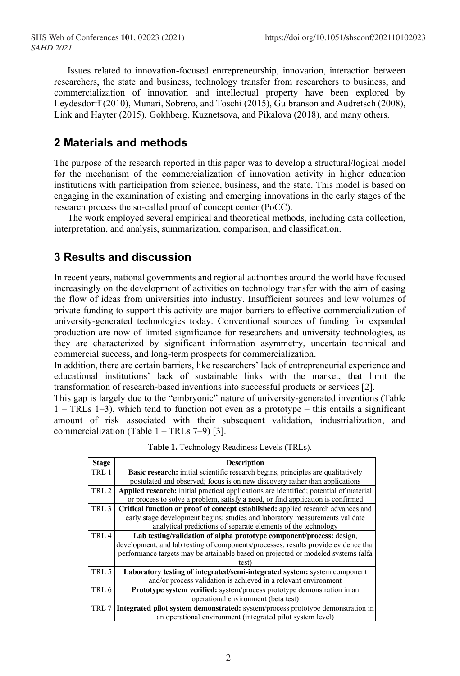Issues related to innovation-focused entrepreneurship, innovation, interaction between researchers, the state and business, technology transfer from researchers to business, and commercialization of innovation and intellectual property have been explored by Leydesdorff (2010), Munari, Sobrero, and Toschi (2015), Gulbranson and Audretsch (2008), Link and Hayter (2015), Gokhberg, Kuznetsova, and Pikalova (2018), and many others.

# **2 Materials and methods**

The purpose of the research reported in this paper was to develop a structural/logical model for the mechanism of the commercialization of innovation activity in higher education institutions with participation from science, business, and the state. This model is based on engaging in the examination of existing and emerging innovations in the early stages of the research process the so-called proof of concept center (PoCC).

The work employed several empirical and theoretical methods, including data collection, interpretation, and analysis, summarization, comparison, and classification.

# **3 Results and discussion**

In recent years, national governments and regional authorities around the world have focused increasingly on the development of activities on technology transfer with the aim of easing the flow of ideas from universities into industry. Insufficient sources and low volumes of private funding to support this activity are major barriers to effective commercialization of university-generated technologies today. Conventional sources of funding for expanded production are now of limited significance for researchers and university technologies, as they are characterized by significant information asymmetry, uncertain technical and commercial success, and long-term prospects for commercialization.

In addition, there are certain barriers, like researchers' lack of entrepreneurial experience and educational institutions' lack of sustainable links with the market, that limit the transformation of research-based inventions into successful products or services [2].

This gap is largely due to the "embryonic" nature of university-generated inventions (Table 1 – TRLs 1–3), which tend to function not even as a prototype – this entails a significant amount of risk associated with their subsequent validation, industrialization, and commercialization (Table  $1 - \text{TRLs}$  7–9) [3].

| <b>Stage</b>     | <b>Description</b>                                                                            |  |  |  |  |  |
|------------------|-----------------------------------------------------------------------------------------------|--|--|--|--|--|
| TRL 1            | Basic research: initial scientific research begins; principles are qualitatively              |  |  |  |  |  |
|                  | postulated and observed; focus is on new discovery rather than applications                   |  |  |  |  |  |
| TRL <sub>2</sub> | <b>Applied research:</b> initial practical applications are identified; potential of material |  |  |  |  |  |
|                  | or process to solve a problem, satisfy a need, or find application is confirmed               |  |  |  |  |  |
| TRL <sub>3</sub> | Critical function or proof of concept established: applied research advances and              |  |  |  |  |  |
|                  | early stage development begins; studies and laboratory measurements validate                  |  |  |  |  |  |
|                  | analytical predictions of separate elements of the technology                                 |  |  |  |  |  |
| TRL <sub>4</sub> | Lab testing/validation of alpha prototype component/process: design,                          |  |  |  |  |  |
|                  | development, and lab testing of components/processes; results provide evidence that           |  |  |  |  |  |
|                  | performance targets may be attainable based on projected or modeled systems (alfa             |  |  |  |  |  |
|                  | test)                                                                                         |  |  |  |  |  |
| TRL 5            | Laboratory testing of integrated/semi-integrated system: system component                     |  |  |  |  |  |
|                  | and/or process validation is achieved in a relevant environment                               |  |  |  |  |  |
| TRL 6            | <b>Prototype system verified:</b> system/process prototype demonstration in an                |  |  |  |  |  |
|                  | operational environment (beta test)                                                           |  |  |  |  |  |
| TRL 7            | Integrated pilot system demonstrated: system/process prototype demonstration in               |  |  |  |  |  |
|                  | an operational environment (integrated pilot system level)                                    |  |  |  |  |  |

**Table 1.** Technology Readiness Levels (TRLs).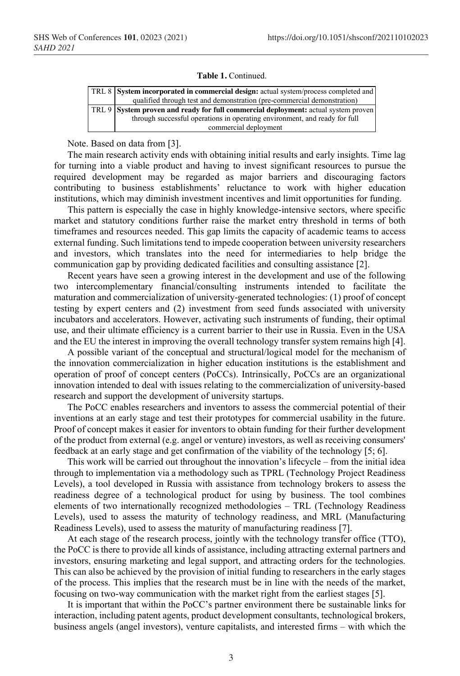#### **Table 1.** Continued.

|  | TRL 8 System incorporated in commercial design: actual system/process completed and |  |  |  |  |  |
|--|-------------------------------------------------------------------------------------|--|--|--|--|--|
|  | qualified through test and demonstration (pre-commercial demonstration)             |  |  |  |  |  |
|  | TRL 9 System proven and ready for full commercial deployment: actual system proven  |  |  |  |  |  |
|  | through successful operations in operating environment, and ready for full          |  |  |  |  |  |
|  | commercial deployment                                                               |  |  |  |  |  |

Note. Based on data from [3].

The main research activity ends with obtaining initial results and early insights. Time lag for turning into a viable product and having to invest significant resources to pursue the required development may be regarded as major barriers and discouraging factors contributing to business establishments' reluctance to work with higher education institutions, which may diminish investment incentives and limit opportunities for funding.

This pattern is especially the case in highly knowledge-intensive sectors, where specific market and statutory conditions further raise the market entry threshold in terms of both timeframes and resources needed. This gap limits the capacity of academic teams to access external funding. Such limitations tend to impede cooperation between university researchers and investors, which translates into the need for intermediaries to help bridge the communication gap by providing dedicated facilities and consulting assistance [2].

Recent years have seen a growing interest in the development and use of the following two intercomplementary financial/consulting instruments intended to facilitate the maturation and commercialization of university-generated technologies: (1) proof of concept testing by expert centers and (2) investment from seed funds associated with university incubators and accelerators. However, activating such instruments of funding, their optimal use, and their ultimate efficiency is a current barrier to their use in Russia. Even in the USA and the EU the interest in improving the overall technology transfer system remains high [4].

A possible variant of the conceptual and structural/logical model for the mechanism of the innovation commercialization in higher education institutions is the establishment and operation of proof of concept centers (PoCCs). Intrinsically, PoCCs are an organizational innovation intended to deal with issues relating to the commercialization of university-based research and support the development of university startups.

The PoCC enables researchers and inventors to assess the commercial potential of their inventions at an early stage and test their prototypes for commercial usability in the future. Proof of concept makes it easier for inventors to obtain funding for their further development of the product from external (e.g. angel or venture) investors, as well as receiving consumers' feedback at an early stage and get confirmation of the viability of the technology [5; 6].

This work will be carried out throughout the innovation's lifecycle – from the initial idea through to implementation via a methodology such as TPRL (Technology Project Readiness Levels), a tool developed in Russia with assistance from technology brokers to assess the readiness degree of a technological product for using by business. The tool combines elements of two internationally recognized methodologies – TRL (Technology Readiness Levels), used to assess the maturity of technology readiness, and MRL (Manufacturing Readiness Levels), used to assess the maturity of manufacturing readiness [7].

At each stage of the research process, jointly with the technology transfer office (TTO), the PoCC is there to provide all kinds of assistance, including attracting external partners and investors, ensuring marketing and legal support, and attracting orders for the technologies. This can also be achieved by the provision of initial funding to researchers in the early stages of the process. This implies that the research must be in line with the needs of the market, focusing on two-way communication with the market right from the earliest stages [5].

It is important that within the PoCC's partner environment there be sustainable links for interaction, including patent agents, product development consultants, technological brokers, business angels (angel investors), venture capitalists, and interested firms – with which the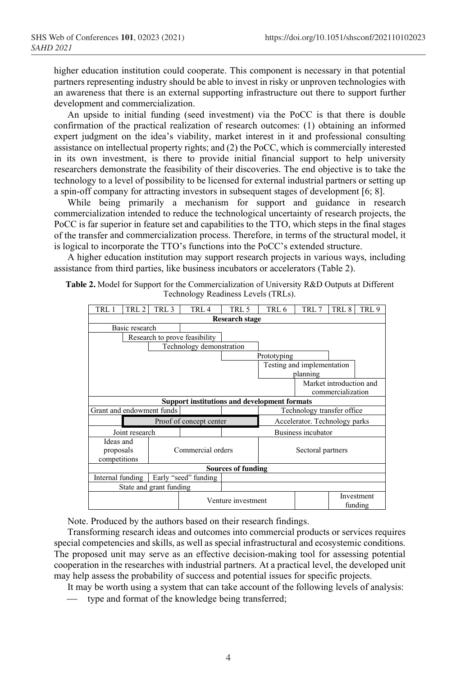higher education institution could cooperate. This component is necessary in that potential partners representing industry should be able to invest in risky or unproven technologies with an awareness that there is an external supporting infrastructure out there to support further development and commercialization.

An upside to initial funding (seed investment) via the PoCC is that there is double confirmation of the practical realization of research outcomes: (1) obtaining an informed expert judgment on the idea's viability, market interest in it and professional consulting assistance on intellectual property rights; and (2) the PoCC, which is commercially interested in its own investment, is there to provide initial financial support to help university researchers demonstrate the feasibility of their discoveries. The end objective is to take the technology to a level of possibility to be licensed for external industrial partners or setting up a spin-off company for attracting investors in subsequent stages of development [6; 8].

While being primarily a mechanism for support and guidance in research commercialization intended to reduce the technological uncertainty of research projects, the PoCC is far superior in feature set and capabilities to the TTO, which steps in the final stages of the transfer and commercialization process. Therefore, in terms of the structural model, it is logical to incorporate the TTO's functions into the PoCC's extended structure.

A higher education institution may support research projects in various ways, including assistance from third parties, like business incubators or accelerators (Table 2).

| <b>Table 2.</b> Model for Support for the Commercialization of University $R\&D$ Outputs at Different |  |
|-------------------------------------------------------------------------------------------------------|--|
| Technology Readiness Levels (TRLs).                                                                   |  |

| TRL 1                                               | TRL 2        | TRL 3                   | TRL 4                         | TRL 5                         | TRL 6                      | TRL 7 | TRL 8                   | TRL 9                 |  |  |  |
|-----------------------------------------------------|--------------|-------------------------|-------------------------------|-------------------------------|----------------------------|-------|-------------------------|-----------------------|--|--|--|
| <b>Research stage</b>                               |              |                         |                               |                               |                            |       |                         |                       |  |  |  |
| Basic research                                      |              |                         |                               |                               |                            |       |                         |                       |  |  |  |
|                                                     |              |                         | Research to prove feasibility |                               |                            |       |                         |                       |  |  |  |
| Technology demonstration                            |              |                         |                               |                               |                            |       |                         |                       |  |  |  |
|                                                     |              |                         |                               |                               | Prototyping                |       |                         |                       |  |  |  |
|                                                     |              |                         |                               |                               | Testing and implementation |       |                         |                       |  |  |  |
|                                                     |              |                         |                               |                               | planning                   |       |                         |                       |  |  |  |
|                                                     |              |                         |                               |                               |                            |       | Market introduction and |                       |  |  |  |
|                                                     |              |                         |                               |                               |                            |       | commercialization       |                       |  |  |  |
| <b>Support institutions and development formats</b> |              |                         |                               |                               |                            |       |                         |                       |  |  |  |
| Grant and endowment funds                           |              |                         |                               |                               | Technology transfer office |       |                         |                       |  |  |  |
| Proof of concept center                             |              |                         |                               | Accelerator. Technology parks |                            |       |                         |                       |  |  |  |
| Joint research                                      |              |                         |                               |                               | Business incubator         |       |                         |                       |  |  |  |
| Ideas and                                           |              |                         |                               |                               |                            |       |                         |                       |  |  |  |
| proposals                                           |              | Commercial orders       |                               | Sectoral partners             |                            |       |                         |                       |  |  |  |
|                                                     | competitions |                         |                               |                               |                            |       |                         |                       |  |  |  |
| <b>Sources of funding</b>                           |              |                         |                               |                               |                            |       |                         |                       |  |  |  |
| Internal funding                                    |              |                         | Early "seed" funding          |                               |                            |       |                         |                       |  |  |  |
|                                                     |              | State and grant funding |                               |                               |                            |       |                         |                       |  |  |  |
|                                                     |              |                         |                               | Venture investment            |                            |       |                         | Investment<br>funding |  |  |  |

Note. Produced by the authors based on their research findings.

Transforming research ideas and outcomes into commercial products or services requires special competencies and skills, as well as special infrastructural and ecosystemic conditions. The proposed unit may serve as an effective decision-making tool for assessing potential cooperation in the researches with industrial partners. At a practical level, the developed unit may help assess the probability of success and potential issues for specific projects.

It may be worth using a system that can take account of the following levels of analysis:

⎯ type and format of the knowledge being transferred;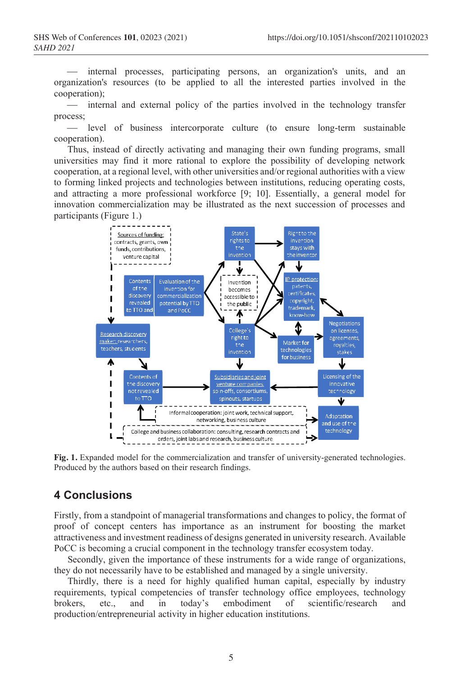⎯ internal processes, participating persons, an organization's units, and an organization's resources (to be applied to all the interested parties involved in the cooperation);

⎯ internal and external policy of the parties involved in the technology transfer process;

⎯ level of business intercorporate culture (to ensure long-term sustainable cooperation).

Thus, instead of directly activating and managing their own funding programs, small universities may find it more rational to explore the possibility of developing network cooperation, at a regional level, with other universities and/or regional authorities with a view to forming linked projects and technologies between institutions, reducing operating costs, and attracting a more professional workforce [9; 10]. Essentially, a general model for innovation commercialization may be illustrated as the next succession of processes and participants (Figure 1.)



**Fig. 1.** Expanded model for the commercialization and transfer of university-generated technologies. Produced by the authors based on their research findings.

## **4 Conclusions**

Firstly, from a standpoint of managerial transformations and changes to policy, the format of proof of concept centers has importance as an instrument for boosting the market attractiveness and investment readiness of designs generated in university research. Available PoCC is becoming a crucial component in the technology transfer ecosystem today.

Secondly, given the importance of these instruments for a wide range of organizations, they do not necessarily have to be established and managed by a single university.

Thirdly, there is a need for highly qualified human capital, especially by industry requirements, typical competencies of transfer technology office employees, technology brokers, etc., and in today's embodiment of scientific/research and production/entrepreneurial activity in higher education institutions.